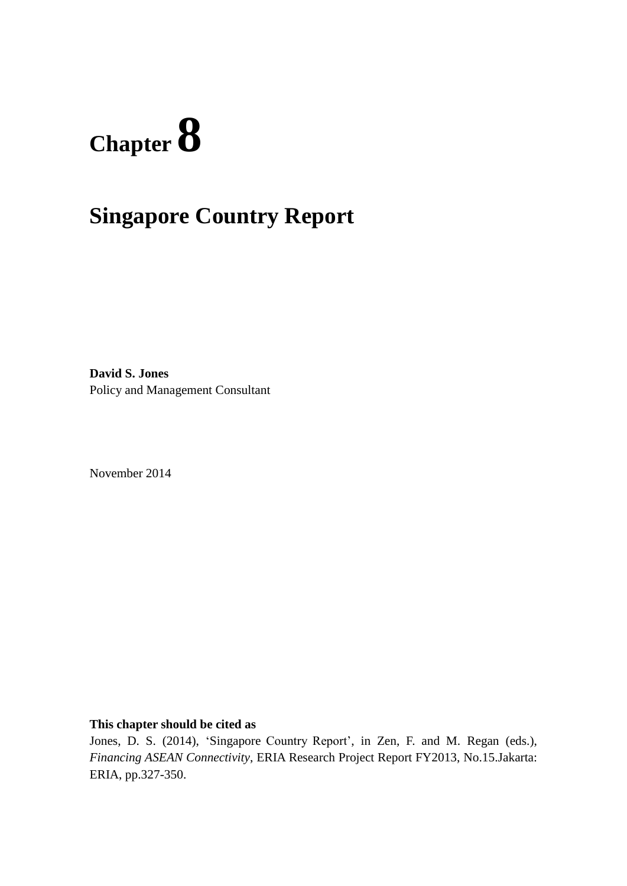# **Chapter 8**

# **Singapore Country Report**

**David S. Jones** Policy and Management Consultant

November 2014

**This chapter should be cited as**

Jones, D. S. (2014), 'Singapore Country Report', in Zen, F. and M. Regan (eds.), *Financing ASEAN Connectivity*, ERIA Research Project Report FY2013, No.15.Jakarta: ERIA, pp.327-350.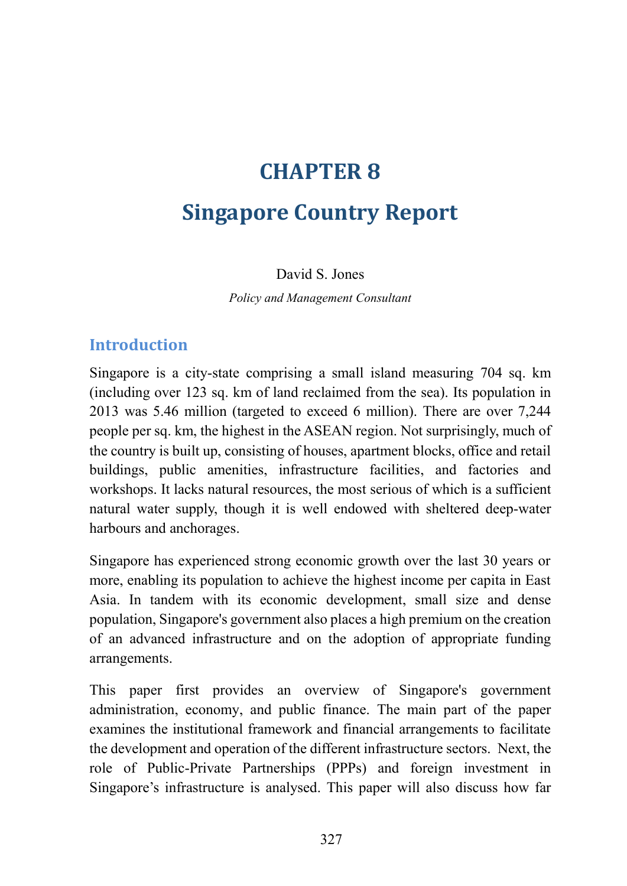# **CHAPTER 8**

# **Singapore Country Report**

#### David S. Jones

*Policy and Management Consultant*

#### **Introduction**

Singapore is a city-state comprising a small island measuring 704 sq. km (including over 123 sq. km of land reclaimed from the sea). Its population in 2013 was 5.46 million (targeted to exceed 6 million). There are over 7,244 people per sq. km, the highest in the ASEAN region. Not surprisingly, much of the country is built up, consisting of houses, apartment blocks, office and retail buildings, public amenities, infrastructure facilities, and factories and workshops. It lacks natural resources, the most serious of which is a sufficient natural water supply, though it is well endowed with sheltered deep-water harbours and anchorages.

Singapore has experienced strong economic growth over the last 30 years or more, enabling its population to achieve the highest income per capita in East Asia. In tandem with its economic development, small size and dense population, Singapore's government also places a high premium on the creation of an advanced infrastructure and on the adoption of appropriate funding arrangements.

This paper first provides an overview of Singapore's government administration, economy, and public finance. The main part of the paper examines the institutional framework and financial arrangements to facilitate the development and operation of the different infrastructure sectors. Next, the role of Public-Private Partnerships (PPPs) and foreign investment in Singapore's infrastructure is analysed. This paper will also discuss how far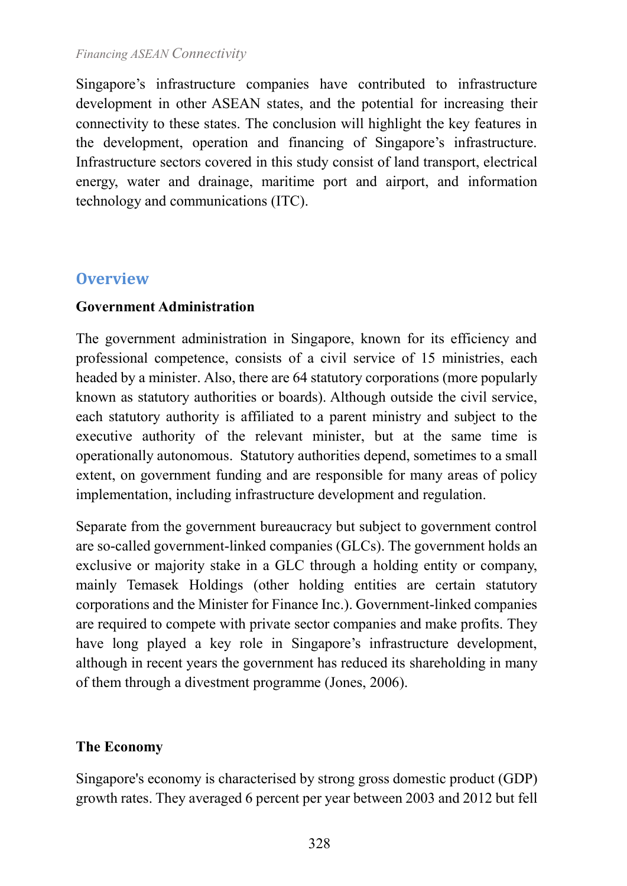Singapore's infrastructure companies have contributed to infrastructure development in other ASEAN states, and the potential for increasing their connectivity to these states. The conclusion will highlight the key features in the development, operation and financing of Singapore's infrastructure. Infrastructure sectors covered in this study consist of land transport, electrical energy, water and drainage, maritime port and airport, and information technology and communications (ITC).

## **Overview**

#### **Government Administration**

The government administration in Singapore, known for its efficiency and professional competence, consists of a civil service of 15 ministries, each headed by a minister. Also, there are 64 statutory corporations (more popularly known as statutory authorities or boards). Although outside the civil service, each statutory authority is affiliated to a parent ministry and subject to the executive authority of the relevant minister, but at the same time is operationally autonomous. Statutory authorities depend, sometimes to a small extent, on government funding and are responsible for many areas of policy implementation, including infrastructure development and regulation.

Separate from the government bureaucracy but subject to government control are so-called government-linked companies (GLCs). The government holds an exclusive or majority stake in a GLC through a holding entity or company, mainly Temasek Holdings (other holding entities are certain statutory corporations and the Minister for Finance Inc.). Government-linked companies are required to compete with private sector companies and make profits. They have long played a key role in Singapore's infrastructure development, although in recent years the government has reduced its shareholding in many of them through a divestment programme (Jones, 2006).

#### **The Economy**

Singapore's economy is characterised by strong gross domestic product (GDP) growth rates. They averaged 6 percent per year between 2003 and 2012 but fell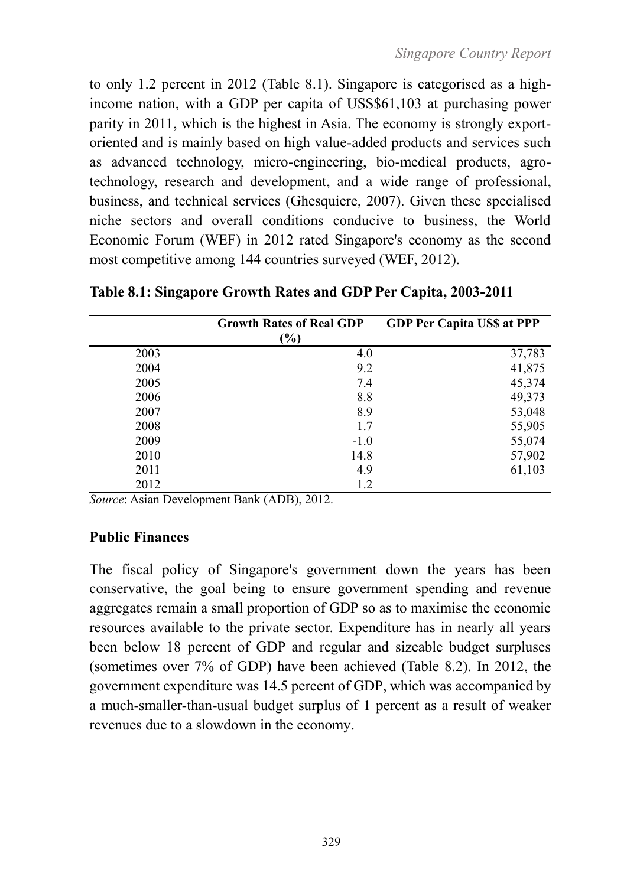to only 1.2 percent in 2012 [\(Table 8.1\)](#page-3-0). Singapore is categorised as a highincome nation, with a GDP per capita of USS\$61,103 at purchasing power parity in 2011, which is the highest in Asia. The economy is strongly exportoriented and is mainly based on high value-added products and services such as advanced technology, micro-engineering, bio-medical products, agrotechnology, research and development, and a wide range of professional, business, and technical services (Ghesquiere, 2007). Given these specialised niche sectors and overall conditions conducive to business, the World Economic Forum (WEF) in 2012 rated Singapore's economy as the second most competitive among 144 countries surveyed (WEF, 2012).

|      | <b>Growth Rates of Real GDP</b> | <b>GDP Per Capita USS at PPP</b> |
|------|---------------------------------|----------------------------------|
|      | $\frac{9}{6}$                   |                                  |
| 2003 | 4.0                             | 37,783                           |
| 2004 | 9.2                             | 41,875                           |
| 2005 | 7.4                             | 45,374                           |
| 2006 | 8.8                             | 49,373                           |
| 2007 | 8.9                             | 53,048                           |
| 2008 | 1.7                             | 55,905                           |
| 2009 | $-1.0$                          | 55,074                           |
| 2010 | 14.8                            | 57,902                           |
| 2011 | 4.9                             | 61,103                           |
| 2012 | 1.2                             |                                  |

<span id="page-3-0"></span>**Table 8.1: Singapore Growth Rates and GDP Per Capita, 2003-2011**

*Source*: Asian Development Bank (ADB), 2012.

#### **Public Finances**

The fiscal policy of Singapore's government down the years has been conservative, the goal being to ensure government spending and revenue aggregates remain a small proportion of GDP so as to maximise the economic resources available to the private sector. Expenditure has in nearly all years been below 18 percent of GDP and regular and sizeable budget surpluses (sometimes over 7% of GDP) have been achieved (Table 8.2). In 2012, the government expenditure was 14.5 percent of GDP, which was accompanied by a much-smaller-than-usual budget surplus of 1 percent as a result of weaker revenues due to a slowdown in the economy.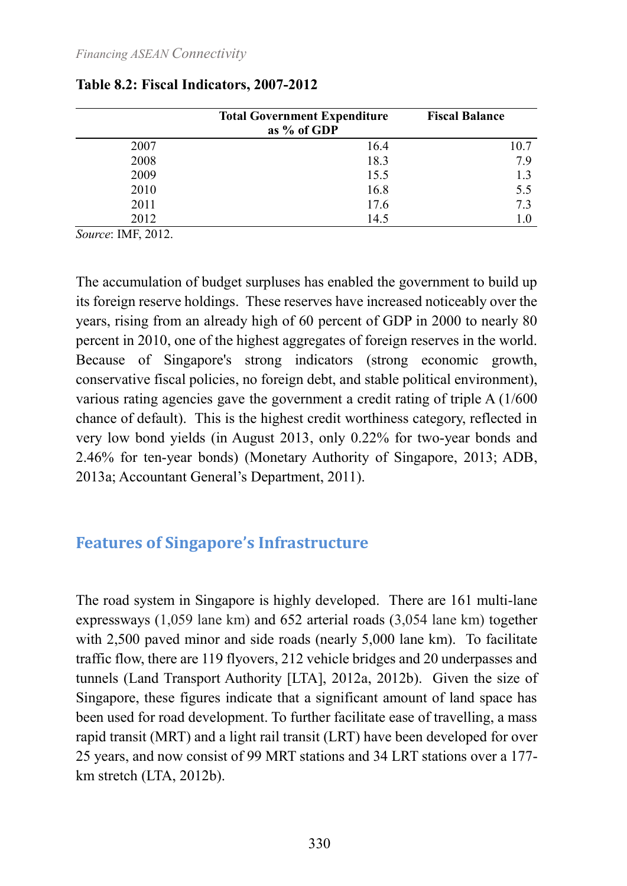|      | <b>Total Government Expenditure</b><br>as % of GDP | <b>Fiscal Balance</b> |
|------|----------------------------------------------------|-----------------------|
| 2007 | 16.4                                               | 10.7                  |
| 2008 | 18.3                                               | 79                    |
| 2009 | 15.5                                               | 13                    |
| 2010 | 16.8                                               | 5.5                   |
| 2011 | 17.6                                               | 7.3                   |
| 2012 | 14.5                                               | 1.0                   |

#### **Table 8.2: Fiscal Indicators, 2007-2012**

*Source*: IMF, 2012.

The accumulation of budget surpluses has enabled the government to build up its foreign reserve holdings. These reserves have increased noticeably over the years, rising from an already high of 60 percent of GDP in 2000 to nearly 80 percent in 2010, one of the highest aggregates of foreign reserves in the world. Because of Singapore's strong indicators (strong economic growth, conservative fiscal policies, no foreign debt, and stable political environment), various rating agencies gave the government a credit rating of triple A (1/600 chance of default). This is the highest credit worthiness category, reflected in very low bond yields (in August 2013, only 0.22% for two-year bonds and 2.46% for ten-year bonds) (Monetary Authority of Singapore, 2013; ADB, 2013a; Accountant General's Department, 2011).

# **Features of Singapore's Infrastructure**

The road system in Singapore is highly developed. There are 161 multi-lane expressways (1,059 lane km) and 652 arterial roads (3,054 lane km) together with 2,500 paved minor and side roads (nearly 5,000 lane km). To facilitate traffic flow, there are 119 flyovers, 212 vehicle bridges and 20 underpasses and tunnels (Land Transport Authority [LTA], 2012a, 2012b). Given the size of Singapore, these figures indicate that a significant amount of land space has been used for road development. To further facilitate ease of travelling, a mass rapid transit (MRT) and a light rail transit (LRT) have been developed for over 25 years, and now consist of 99 MRT stations and 34 LRT stations over a 177 km stretch (LTA, 2012b).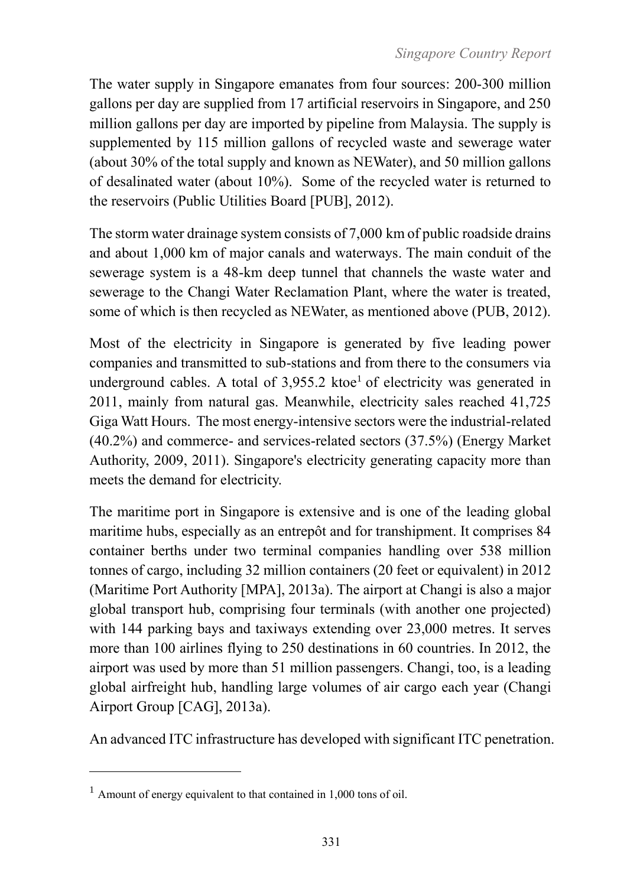The water supply in Singapore emanates from four sources: 200-300 million gallons per day are supplied from 17 artificial reservoirs in Singapore, and 250 million gallons per day are imported by pipeline from Malaysia. The supply is supplemented by 115 million gallons of recycled waste and sewerage water (about 30% of the total supply and known as NEWater), and 50 million gallons of desalinated water (about 10%). Some of the recycled water is returned to the reservoirs (Public Utilities Board [PUB], 2012).

The storm water drainage system consists of 7,000 km of public roadside drains and about 1,000 km of major canals and waterways. The main conduit of the sewerage system is a 48-km deep tunnel that channels the waste water and sewerage to the Changi Water Reclamation Plant, where the water is treated, some of which is then recycled as NEWater, as mentioned above (PUB, 2012).

Most of the electricity in Singapore is generated by five leading power companies and transmitted to sub-stations and from there to the consumers via underground cables. A total of  $3,955.2$  ktoe<sup>1</sup> of electricity was generated in 2011, mainly from natural gas. Meanwhile, electricity sales reached 41,725 Giga Watt Hours. The most energy-intensive sectors were the industrial-related (40.2%) and commerce- and services-related sectors (37.5%) (Energy Market Authority, 2009, 2011). Singapore's electricity generating capacity more than meets the demand for electricity.

The maritime port in Singapore is extensive and is one of the leading global maritime hubs, especially as an entrepôt and for transhipment. It comprises 84 container berths under two terminal companies handling over 538 million tonnes of cargo, including 32 million containers (20 feet or equivalent) in 2012 (Maritime Port Authority [MPA], 2013a). The airport at Changi is also a major global transport hub, comprising four terminals (with another one projected) with 144 parking bays and taxiways extending over 23,000 metres. It serves more than 100 airlines flying to 250 destinations in 60 countries. In 2012, the airport was used by more than 51 million passengers. Changi, too, is a leading global airfreight hub, handling large volumes of air cargo each year (Changi Airport Group [CAG], 2013a).

An advanced ITC infrastructure has developed with significant ITC penetration.

 $\overline{a}$ 

 $1$  Amount of energy equivalent to that contained in 1,000 tons of oil.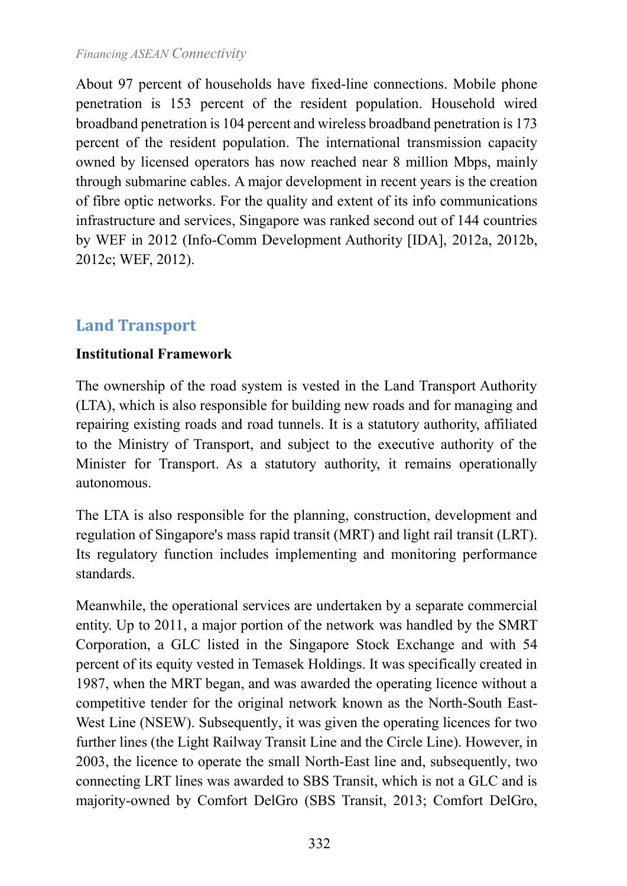About 97 percent of households have fixed-line connections. Mobile phone penetration is 153 percent of the resident population. Household wired broadband penetration is 104 percent and wireless broadband penetration is 173 percent of the resident population. The international transmission capacity owned by licensed operators has now reached near 8 million Mbps, mainly through submarine cables. A major development in recent years is the creation of fibre optic networks. For the quality and extent of its info communications infrastructure and services, Singapore was ranked second out of 144 countries by WEF in 2012 (Info-Comm Development Authority [IDA], 2012a, 2012b, 2012c; WEF, 2012).

## **Land Transport**

#### **Institutional Framework**

The ownership of the road system is vested in the Land Transport Authority (LTA), which is also responsible for building new roads and for managing and repairing existing roads and road tunnels. It is a statutory authority, affiliated to the Ministry of Transport, and subject to the executive authority of the Minister for Transport. As a statutory authority, it remains operationally autonomous.

The LTA is also responsible for the planning, construction, development and regulation of Singapore's mass rapid transit (MRT) and light rail transit (LRT). Its regulatory function includes implementing and monitoring performance standards.

Meanwhile, the operational services are undertaken by a separate commercial entity. Up to 2011, a major portion of the network was handled by the SMRT Corporation, a GLC listed in the Singapore Stock Exchange and with 54 percent of its equity vested in Temasek Holdings. It was specifically created in 1987, when the MRT began, and was awarded the operating licence without a competitive tender for the original network known as the North-South East-West Line (NSEW). Subsequently, it was given the operating licences for two further lines (the Light Railway Transit Line and the Circle Line). However, in 2003, the licence to operate the small North-East line and, subsequently, two connecting LRT lines was awarded to SBS Transit, which is not a GLC and is majority-owned by Comfort DelGro (SBS Transit, 2013; Comfort DelGro,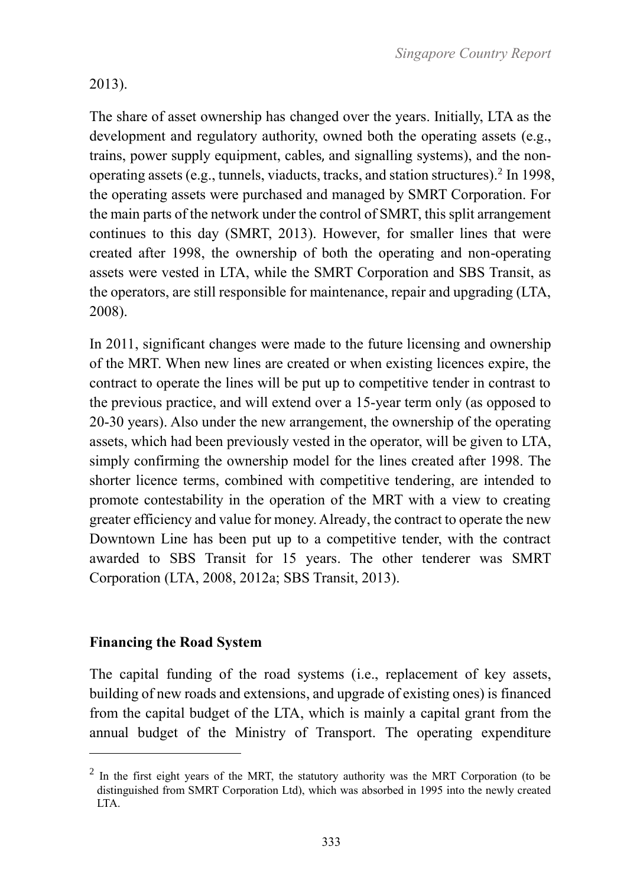#### 2013).

The share of asset ownership has changed over the years. Initially, LTA as the development and regulatory authority, owned both the operating assets (e.g., trains, power supply equipment, cables, and signalling systems), and the nonoperating assets (e.g., tunnels, viaducts, tracks, and station structures).<sup>2</sup> In 1998, the operating assets were purchased and managed by SMRT Corporation. For the main parts of the network under the control of SMRT, this split arrangement continues to this day (SMRT, 2013). However, for smaller lines that were created after 1998, the ownership of both the operating and non-operating assets were vested in LTA, while the SMRT Corporation and SBS Transit, as the operators, are still responsible for maintenance, repair and upgrading (LTA, 2008).

In 2011, significant changes were made to the future licensing and ownership of the MRT. When new lines are created or when existing licences expire, the contract to operate the lines will be put up to competitive tender in contrast to the previous practice, and will extend over a 15-year term only (as opposed to 20-30 years). Also under the new arrangement, the ownership of the operating assets, which had been previously vested in the operator, will be given to LTA, simply confirming the ownership model for the lines created after 1998. The shorter licence terms, combined with competitive tendering, are intended to promote contestability in the operation of the MRT with a view to creating greater efficiency and value for money. Already, the contract to operate the new Downtown Line has been put up to a competitive tender, with the contract awarded to SBS Transit for 15 years. The other tenderer was SMRT Corporation (LTA, 2008, 2012a; SBS Transit, 2013).

#### **Financing the Road System**

 $\overline{a}$ 

The capital funding of the road systems (i.e., replacement of key assets, building of new roads and extensions, and upgrade of existing ones) is financed from the capital budget of the LTA, which is mainly a capital grant from the annual budget of the Ministry of Transport. The operating expenditure

 $2$  In the first eight years of the MRT, the statutory authority was the MRT Corporation (to be distinguished from SMRT Corporation Ltd), which was absorbed in 1995 into the newly created LTA.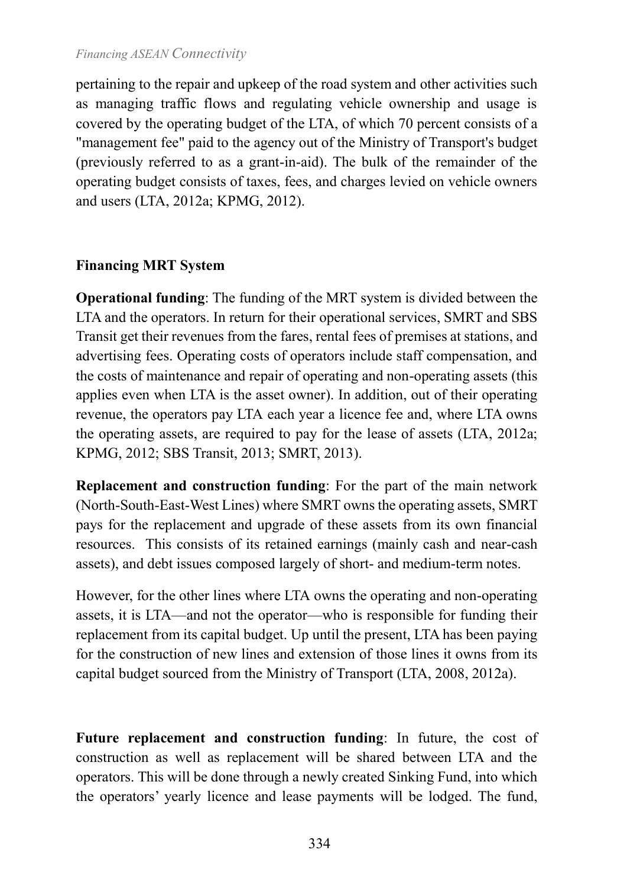pertaining to the repair and upkeep of the road system and other activities such as managing traffic flows and regulating vehicle ownership and usage is covered by the operating budget of the LTA, of which 70 percent consists of a "management fee" paid to the agency out of the Ministry of Transport's budget (previously referred to as a grant-in-aid). The bulk of the remainder of the operating budget consists of taxes, fees, and charges levied on vehicle owners and users (LTA, 2012a; KPMG, 2012).

#### **Financing MRT System**

**Operational funding**: The funding of the MRT system is divided between the LTA and the operators. In return for their operational services, SMRT and SBS Transit get their revenues from the fares, rental fees of premises at stations, and advertising fees. Operating costs of operators include staff compensation, and the costs of maintenance and repair of operating and non-operating assets (this applies even when LTA is the asset owner). In addition, out of their operating revenue, the operators pay LTA each year a licence fee and, where LTA owns the operating assets, are required to pay for the lease of assets (LTA, 2012a; KPMG, 2012; SBS Transit, 2013; SMRT, 2013).

**Replacement and construction funding**: For the part of the main network (North-South-East-West Lines) where SMRT owns the operating assets, SMRT pays for the replacement and upgrade of these assets from its own financial resources. This consists of its retained earnings (mainly cash and near-cash assets), and debt issues composed largely of short- and medium-term notes.

However, for the other lines where LTA owns the operating and non-operating assets, it is LTA—and not the operator—who is responsible for funding their replacement from its capital budget. Up until the present, LTA has been paying for the construction of new lines and extension of those lines it owns from its capital budget sourced from the Ministry of Transport (LTA, 2008, 2012a).

**Future replacement and construction funding**: In future, the cost of construction as well as replacement will be shared between LTA and the operators. This will be done through a newly created Sinking Fund, into which the operators' yearly licence and lease payments will be lodged. The fund,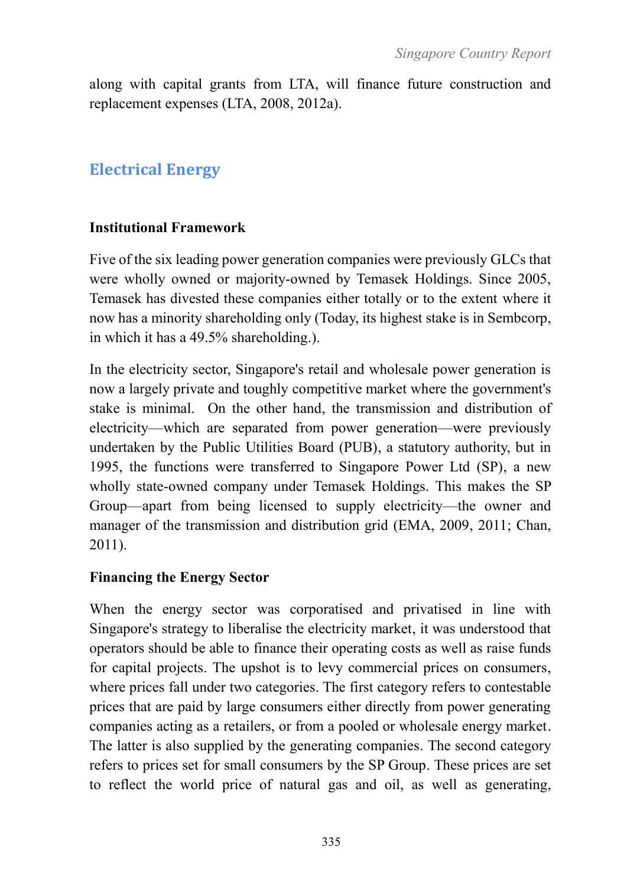along with capital grants from LTA, will finance future construction and replacement expenses (LTA, 2008, 2012a).

# **Electrical Energy**

#### **Institutional Framework**

Five of the six leading power generation companies were previously GLCs that were wholly owned or majority-owned by Temasek Holdings. Since 2005, Temasek has divested these companies either totally or to the extent where it now has a minority shareholding only (Today, its highest stake is in Sembcorp, in which it has a 49.5% shareholding.).

In the electricity sector, Singapore's retail and wholesale power generation is now a largely private and toughly competitive market where the government's stake is minimal. On the other hand, the transmission and distribution of electricity—which are separated from power generation—were previously undertaken by the Public Utilities Board (PUB), a statutory authority, but in 1995, the functions were transferred to Singapore Power Ltd (SP), a new wholly state-owned company under Temasek Holdings. This makes the SP Group—apart from being licensed to supply electricity—the owner and manager of the transmission and distribution grid (EMA, 2009, 2011; Chan, 2011).

#### **Financing the Energy Sector**

When the energy sector was corporatised and privatised in line with Singapore's strategy to liberalise the electricity market, it was understood that operators should be able to finance their operating costs as well as raise funds for capital projects. The upshot is to levy commercial prices on consumers, where prices fall under two categories. The first category refers to contestable prices that are paid by large consumers either directly from power generating companies acting as a retailers, or from a pooled or wholesale energy market. The latter is also supplied by the generating companies. The second category refers to prices set for small consumers by the SP Group. These prices are set to reflect the world price of natural gas and oil, as well as generating,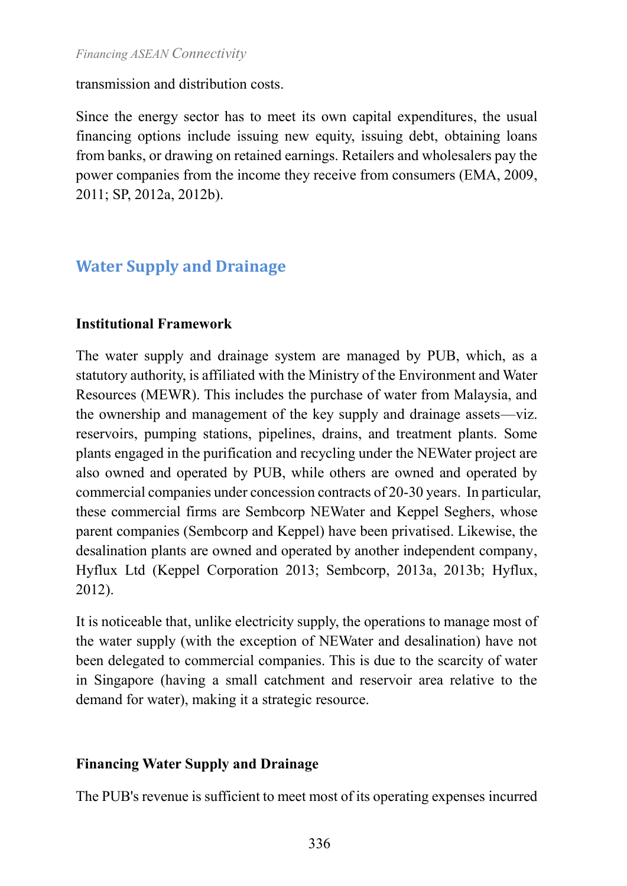transmission and distribution costs.

Since the energy sector has to meet its own capital expenditures, the usual financing options include issuing new equity, issuing debt, obtaining loans from banks, or drawing on retained earnings. Retailers and wholesalers pay the power companies from the income they receive from consumers (EMA, 2009, 2011; SP, 2012a, 2012b).

# **Water Supply and Drainage**

#### **Institutional Framework**

The water supply and drainage system are managed by PUB, which, as a statutory authority, is affiliated with the Ministry of the Environment and Water Resources (MEWR). This includes the purchase of water from Malaysia, and the ownership and management of the key supply and drainage assets—viz. reservoirs, pumping stations, pipelines, drains, and treatment plants. Some plants engaged in the purification and recycling under the NEWater project are also owned and operated by PUB, while others are owned and operated by commercial companies under concession contracts of 20-30 years. In particular, these commercial firms are Sembcorp NEWater and Keppel Seghers, whose parent companies (Sembcorp and Keppel) have been privatised. Likewise, the desalination plants are owned and operated by another independent company, Hyflux Ltd (Keppel Corporation 2013; Sembcorp, 2013a, 2013b; Hyflux, 2012).

It is noticeable that, unlike electricity supply, the operations to manage most of the water supply (with the exception of NEWater and desalination) have not been delegated to commercial companies. This is due to the scarcity of water in Singapore (having a small catchment and reservoir area relative to the demand for water), making it a strategic resource.

# **Financing Water Supply and Drainage**

The PUB's revenue is sufficient to meet most of its operating expenses incurred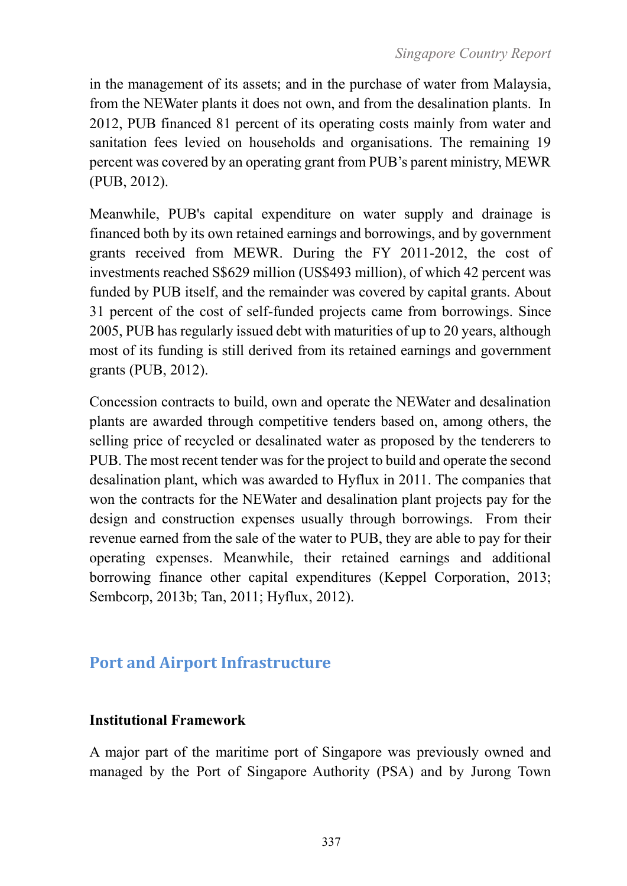in the management of its assets; and in the purchase of water from Malaysia, from the NEWater plants it does not own, and from the desalination plants. In 2012, PUB financed 81 percent of its operating costs mainly from water and sanitation fees levied on households and organisations. The remaining 19 percent was covered by an operating grant from PUB's parent ministry, MEWR (PUB, 2012).

Meanwhile, PUB's capital expenditure on water supply and drainage is financed both by its own retained earnings and borrowings, and by government grants received from MEWR. During the FY 2011-2012, the cost of investments reached S\$629 million (US\$493 million), of which 42 percent was funded by PUB itself, and the remainder was covered by capital grants. About 31 percent of the cost of self-funded projects came from borrowings. Since 2005, PUB has regularly issued debt with maturities of up to 20 years, although most of its funding is still derived from its retained earnings and government grants (PUB, 2012).

Concession contracts to build, own and operate the NEWater and desalination plants are awarded through competitive tenders based on, among others, the selling price of recycled or desalinated water as proposed by the tenderers to PUB. The most recent tender was for the project to build and operate the second desalination plant, which was awarded to Hyflux in 2011. The companies that won the contracts for the NEWater and desalination plant projects pay for the design and construction expenses usually through borrowings. From their revenue earned from the sale of the water to PUB, they are able to pay for their operating expenses. Meanwhile, their retained earnings and additional borrowing finance other capital expenditures (Keppel Corporation, 2013; Sembcorp, 2013b; Tan, 2011; Hyflux, 2012).

# **Port and Airport Infrastructure**

#### **Institutional Framework**

A major part of the maritime port of Singapore was previously owned and managed by the Port of Singapore Authority (PSA) and by Jurong Town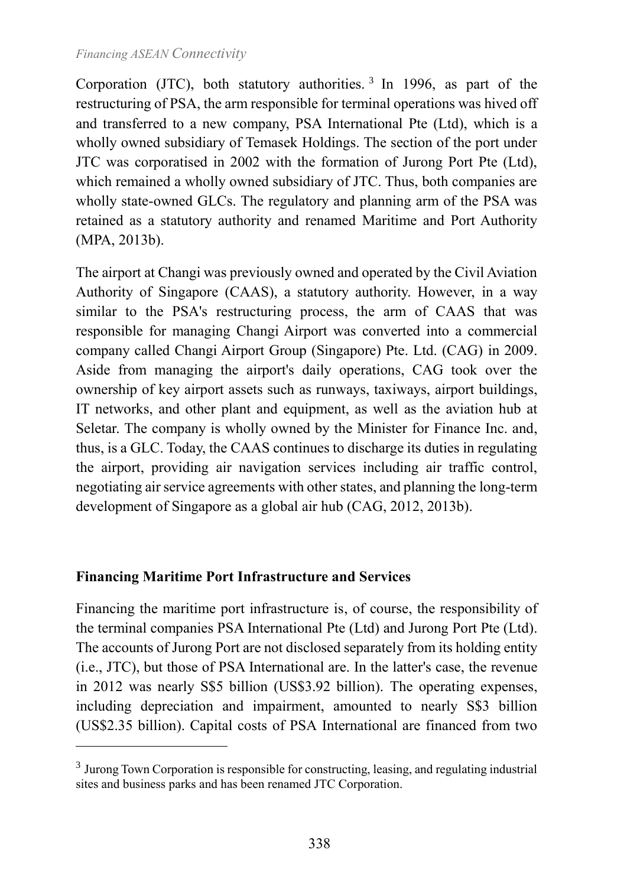Corporation (JTC), both statutory authorities.<sup>3</sup> In 1996, as part of the restructuring of PSA, the arm responsible for terminal operations was hived off and transferred to a new company, PSA International Pte (Ltd), which is a wholly owned subsidiary of Temasek Holdings. The section of the port under JTC was corporatised in 2002 with the formation of Jurong Port Pte (Ltd), which remained a wholly owned subsidiary of JTC. Thus, both companies are wholly state-owned GLCs. The regulatory and planning arm of the PSA was retained as a statutory authority and renamed Maritime and Port Authority (MPA, 2013b).

The airport at Changi was previously owned and operated by the Civil Aviation Authority of Singapore (CAAS), a statutory authority. However, in a way similar to the PSA's restructuring process, the arm of CAAS that was responsible for managing Changi Airport was converted into a commercial company called Changi Airport Group (Singapore) Pte. Ltd. (CAG) in 2009. Aside from managing the airport's daily operations, CAG took over the ownership of key airport assets such as runways, taxiways, airport buildings, IT networks, and other plant and equipment, as well as the aviation hub at Seletar. The company is wholly owned by the Minister for Finance Inc. and, thus, is a GLC. Today, the CAAS continues to discharge its duties in regulating the airport, providing air navigation services including air traffic control, negotiating air service agreements with other states, and planning the long-term development of Singapore as a global air hub (CAG, 2012, 2013b).

#### **Financing Maritime Port Infrastructure and Services**

<u>.</u>

Financing the maritime port infrastructure is, of course, the responsibility of the terminal companies PSA International Pte (Ltd) and Jurong Port Pte (Ltd). The accounts of Jurong Port are not disclosed separately from its holding entity (i.e., JTC), but those of PSA International are. In the latter's case, the revenue in 2012 was nearly S\$5 billion (US\$3.92 billion). The operating expenses, including depreciation and impairment, amounted to nearly S\$3 billion (US\$2.35 billion). Capital costs of PSA International are financed from two

<sup>&</sup>lt;sup>3</sup> Jurong Town Corporation is responsible for constructing, leasing, and regulating industrial sites and business parks and has been renamed JTC Corporation.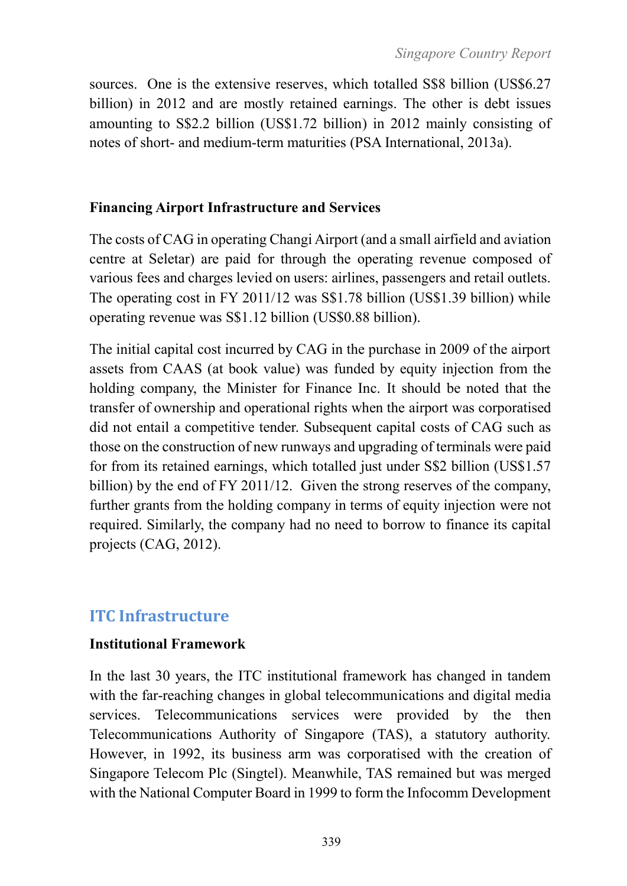sources. One is the extensive reserves, which totalled S\$8 billion (US\$6.27) billion) in 2012 and are mostly retained earnings. The other is debt issues amounting to S\$2.2 billion (US\$1.72 billion) in 2012 mainly consisting of notes of short- and medium-term maturities (PSA International, 2013a).

#### **Financing Airport Infrastructure and Services**

The costs of CAG in operating Changi Airport (and a small airfield and aviation centre at Seletar) are paid for through the operating revenue composed of various fees and charges levied on users: airlines, passengers and retail outlets. The operating cost in FY 2011/12 was S\$1.78 billion (US\$1.39 billion) while operating revenue was S\$1.12 billion (US\$0.88 billion).

The initial capital cost incurred by CAG in the purchase in 2009 of the airport assets from CAAS (at book value) was funded by equity injection from the holding company, the Minister for Finance Inc. It should be noted that the transfer of ownership and operational rights when the airport was corporatised did not entail a competitive tender. Subsequent capital costs of CAG such as those on the construction of new runways and upgrading of terminals were paid for from its retained earnings, which totalled just under S\$2 billion (US\$1.57 billion) by the end of FY 2011/12. Given the strong reserves of the company, further grants from the holding company in terms of equity injection were not required. Similarly, the company had no need to borrow to finance its capital projects (CAG, 2012).

# **ITC Infrastructure**

#### **Institutional Framework**

In the last 30 years, the ITC institutional framework has changed in tandem with the far-reaching changes in global telecommunications and digital media services. Telecommunications services were provided by the then Telecommunications Authority of Singapore (TAS), a statutory authority. However, in 1992, its business arm was corporatised with the creation of Singapore Telecom Plc (Singtel). Meanwhile, TAS remained but was merged with the National Computer Board in 1999 to form the Infocomm Development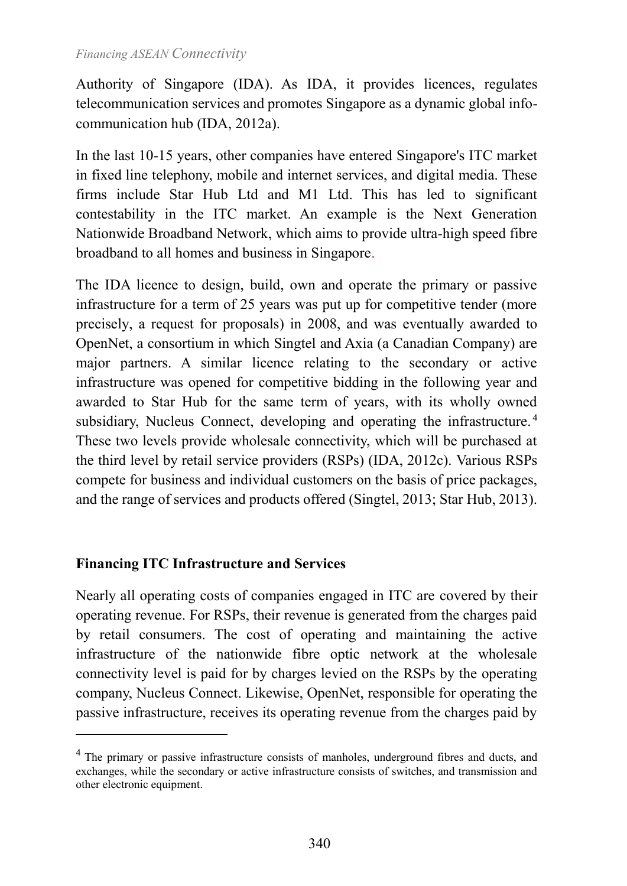Authority of Singapore (IDA). As IDA, it provides licences, regulates telecommunication services and promotes Singapore as a dynamic global infocommunication hub (IDA, 2012a).

In the last 10-15 years, other companies have entered Singapore's ITC market in fixed line telephony, mobile and internet services, and digital media. These firms include Star Hub Ltd and M1 Ltd. This has led to significant contestability in the ITC market. An example is the Next Generation Nationwide Broadband Network, which aims to provide ultra-high speed fibre broadband to all homes and business in Singapore.

The IDA licence to design, build, own and operate the primary or passive infrastructure for a term of 25 years was put up for competitive tender (more precisely, a request for proposals) in 2008, and was eventually awarded to OpenNet, a consortium in which Singtel and Axia (a Canadian Company) are major partners. A similar licence relating to the secondary or active infrastructure was opened for competitive bidding in the following year and awarded to Star Hub for the same term of years, with its wholly owned subsidiary, Nucleus Connect, developing and operating the infrastructure.<sup>4</sup> These two levels provide wholesale connectivity, which will be purchased at the third level by retail service providers (RSPs) (IDA, 2012c). Various RSPs compete for business and individual customers on the basis of price packages, and the range of services and products offered (Singtel, 2013; Star Hub, 2013).

#### **Financing ITC Infrastructure and Services**

1

Nearly all operating costs of companies engaged in ITC are covered by their operating revenue. For RSPs, their revenue is generated from the charges paid by retail consumers. The cost of operating and maintaining the active infrastructure of the nationwide fibre optic network at the wholesale connectivity level is paid for by charges levied on the RSPs by the operating company, Nucleus Connect. Likewise, OpenNet, responsible for operating the passive infrastructure, receives its operating revenue from the charges paid by

<sup>&</sup>lt;sup>4</sup> The primary or passive infrastructure consists of manholes, underground fibres and ducts, and exchanges, while the secondary or active infrastructure consists of switches, and transmission and other electronic equipment.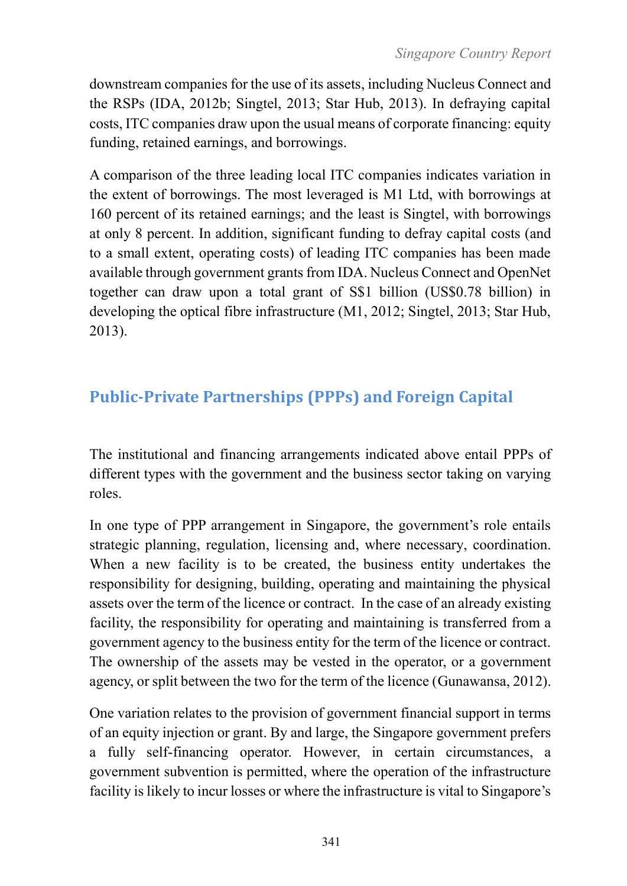downstream companies for the use of its assets, including Nucleus Connect and the RSPs (IDA, 2012b; Singtel, 2013; Star Hub, 2013). In defraying capital costs, ITC companies draw upon the usual means of corporate financing: equity funding, retained earnings, and borrowings.

A comparison of the three leading local ITC companies indicates variation in the extent of borrowings. The most leveraged is M1 Ltd, with borrowings at 160 percent of its retained earnings; and the least is Singtel, with borrowings at only 8 percent. In addition, significant funding to defray capital costs (and to a small extent, operating costs) of leading ITC companies has been made available through government grants from IDA. Nucleus Connect and OpenNet together can draw upon a total grant of S\$1 billion (US\$0.78 billion) in developing the optical fibre infrastructure (M1, 2012; Singtel, 2013; Star Hub, 2013).

# **Public-Private Partnerships (PPPs) and Foreign Capital**

The institutional and financing arrangements indicated above entail PPPs of different types with the government and the business sector taking on varying roles.

In one type of PPP arrangement in Singapore, the government's role entails strategic planning, regulation, licensing and, where necessary, coordination. When a new facility is to be created, the business entity undertakes the responsibility for designing, building, operating and maintaining the physical assets over the term of the licence or contract. In the case of an already existing facility, the responsibility for operating and maintaining is transferred from a government agency to the business entity for the term of the licence or contract. The ownership of the assets may be vested in the operator, or a government agency, or split between the two for the term of the licence (Gunawansa, 2012).

One variation relates to the provision of government financial support in terms of an equity injection or grant. By and large, the Singapore government prefers a fully self-financing operator. However, in certain circumstances, a government subvention is permitted, where the operation of the infrastructure facility is likely to incur losses or where the infrastructure is vital to Singapore's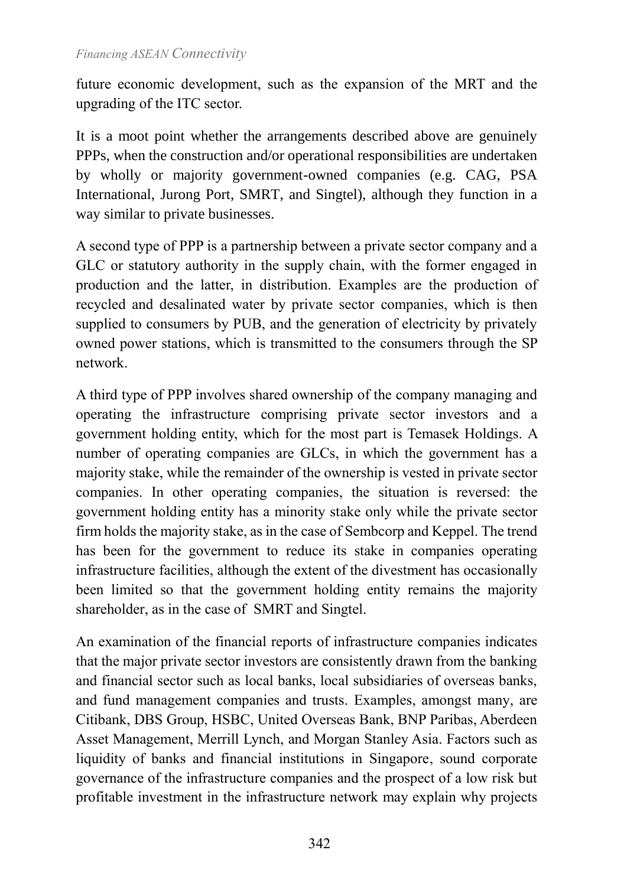future economic development, such as the expansion of the MRT and the upgrading of the ITC sector.

It is a moot point whether the arrangements described above are genuinely PPPs, when the construction and/or operational responsibilities are undertaken by wholly or majority government-owned companies (e.g. CAG, PSA International, Jurong Port, SMRT, and Singtel), although they function in a way similar to private businesses.

A second type of PPP is a partnership between a private sector company and a GLC or statutory authority in the supply chain, with the former engaged in production and the latter, in distribution. Examples are the production of recycled and desalinated water by private sector companies, which is then supplied to consumers by PUB, and the generation of electricity by privately owned power stations, which is transmitted to the consumers through the SP network.

A third type of PPP involves shared ownership of the company managing and operating the infrastructure comprising private sector investors and a government holding entity, which for the most part is Temasek Holdings. A number of operating companies are GLCs, in which the government has a majority stake, while the remainder of the ownership is vested in private sector companies. In other operating companies, the situation is reversed: the government holding entity has a minority stake only while the private sector firm holds the majority stake, as in the case of Sembcorp and Keppel. The trend has been for the government to reduce its stake in companies operating infrastructure facilities, although the extent of the divestment has occasionally been limited so that the government holding entity remains the majority shareholder, as in the case of SMRT and Singtel.

An examination of the financial reports of infrastructure companies indicates that the major private sector investors are consistently drawn from the banking and financial sector such as local banks, local subsidiaries of overseas banks, and fund management companies and trusts. Examples, amongst many, are Citibank, DBS Group, HSBC, United Overseas Bank, BNP Paribas, Aberdeen Asset Management, Merrill Lynch, and Morgan Stanley Asia. Factors such as liquidity of banks and financial institutions in Singapore, sound corporate governance of the infrastructure companies and the prospect of a low risk but profitable investment in the infrastructure network may explain why projects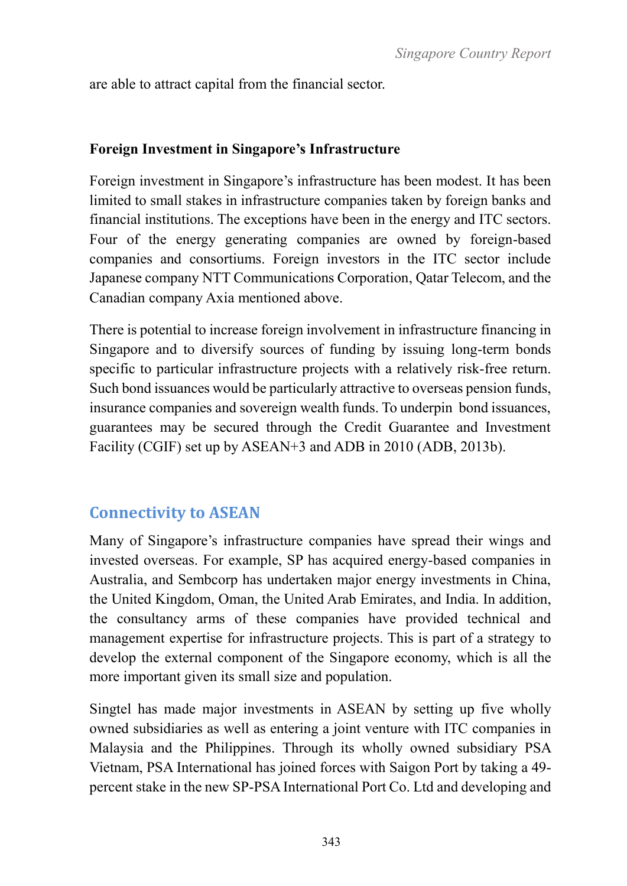are able to attract capital from the financial sector.

#### **Foreign Investment in Singapore's Infrastructure**

Foreign investment in Singapore's infrastructure has been modest. It has been limited to small stakes in infrastructure companies taken by foreign banks and financial institutions. The exceptions have been in the energy and ITC sectors. Four of the energy generating companies are owned by foreign-based companies and consortiums. Foreign investors in the ITC sector include Japanese company NTT Communications Corporation, Qatar Telecom, and the Canadian company Axia mentioned above.

There is potential to increase foreign involvement in infrastructure financing in Singapore and to diversify sources of funding by issuing long-term bonds specific to particular infrastructure projects with a relatively risk-free return. Such bond issuances would be particularly attractive to overseas pension funds, insurance companies and sovereign wealth funds. To underpin bond issuances, guarantees may be secured through the Credit Guarantee and Investment Facility (CGIF) set up by ASEAN+3 and ADB in 2010 (ADB, 2013b).

# **Connectivity to ASEAN**

Many of Singapore's infrastructure companies have spread their wings and invested overseas. For example, SP has acquired energy-based companies in Australia, and Sembcorp has undertaken major energy investments in China, the United Kingdom, Oman, the United Arab Emirates, and India. In addition, the consultancy arms of these companies have provided technical and management expertise for infrastructure projects. This is part of a strategy to develop the external component of the Singapore economy, which is all the more important given its small size and population.

Singtel has made major investments in ASEAN by setting up five wholly owned subsidiaries as well as entering a joint venture with ITC companies in Malaysia and the Philippines. Through its wholly owned subsidiary PSA Vietnam, PSA International has joined forces with Saigon Port by taking a 49 percent stake in the new SP-PSA International Port Co. Ltd and developing and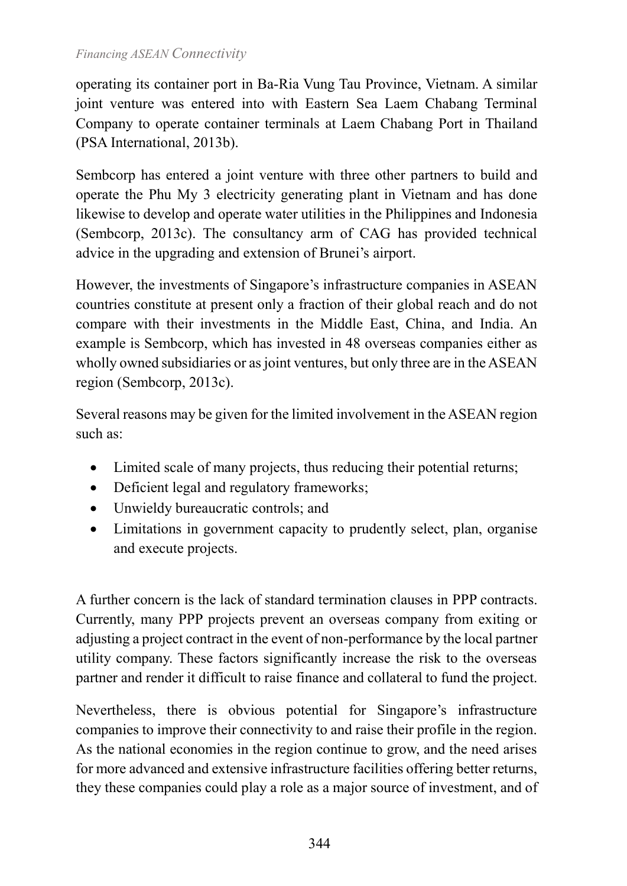operating its container port in Ba-Ria Vung Tau Province, Vietnam. A similar joint venture was entered into with Eastern Sea Laem Chabang Terminal Company to operate container terminals at Laem Chabang Port in Thailand (PSA International, 2013b).

Sembcorp has entered a joint venture with three other partners to build and operate the Phu My 3 electricity generating plant in Vietnam and has done likewise to develop and operate water utilities in the Philippines and Indonesia (Sembcorp, 2013c). The consultancy arm of CAG has provided technical advice in the upgrading and extension of Brunei's airport.

However, the investments of Singapore's infrastructure companies in ASEAN countries constitute at present only a fraction of their global reach and do not compare with their investments in the Middle East, China, and India. An example is Sembcorp, which has invested in 48 overseas companies either as wholly owned subsidiaries or as joint ventures, but only three are in the ASEAN region (Sembcorp, 2013c).

Several reasons may be given for the limited involvement in the ASEAN region such as:

- Limited scale of many projects, thus reducing their potential returns;
- Deficient legal and regulatory frameworks;
- Unwieldy bureaucratic controls; and
- Limitations in government capacity to prudently select, plan, organise and execute projects.

A further concern is the lack of standard termination clauses in PPP contracts. Currently, many PPP projects prevent an overseas company from exiting or adjusting a project contract in the event of non-performance by the local partner utility company. These factors significantly increase the risk to the overseas partner and render it difficult to raise finance and collateral to fund the project.

Nevertheless, there is obvious potential for Singapore's infrastructure companies to improve their connectivity to and raise their profile in the region. As the national economies in the region continue to grow, and the need arises for more advanced and extensive infrastructure facilities offering better returns, they these companies could play a role as a major source of investment, and of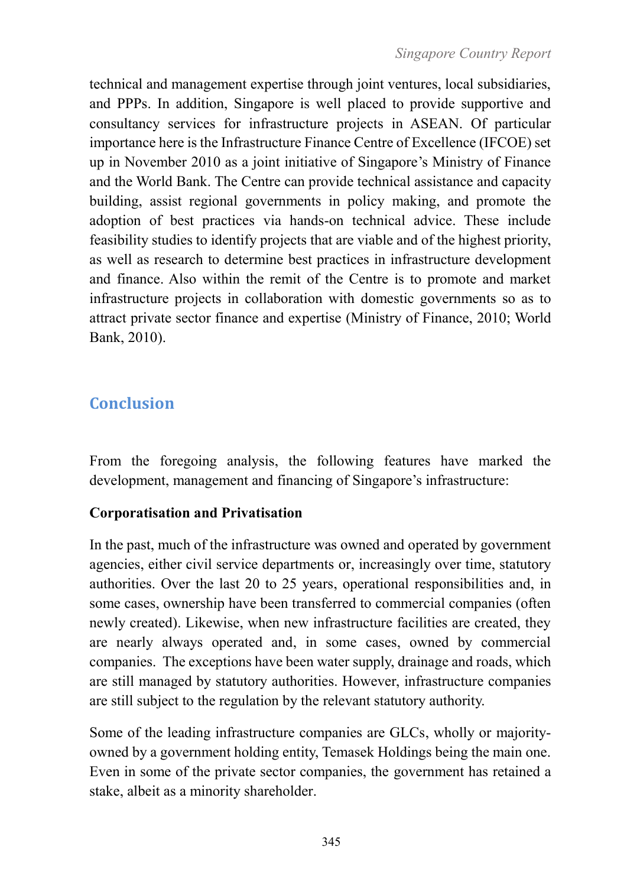technical and management expertise through joint ventures, local subsidiaries, and PPPs. In addition, Singapore is well placed to provide supportive and consultancy services for infrastructure projects in ASEAN. Of particular importance here is the Infrastructure Finance Centre of Excellence (IFCOE) set up in November 2010 as a joint initiative of Singapore's Ministry of Finance and the World Bank. The Centre can provide technical assistance and capacity building, assist regional governments in policy making, and promote the adoption of best practices via hands-on technical advice. These include feasibility studies to identify projects that are viable and of the highest priority, as well as research to determine best practices in infrastructure development and finance. Also within the remit of the Centre is to promote and market infrastructure projects in collaboration with domestic governments so as to attract private sector finance and expertise (Ministry of Finance, 2010; World Bank, 2010).

# **Conclusion**

From the foregoing analysis, the following features have marked the development, management and financing of Singapore's infrastructure:

# **Corporatisation and Privatisation**

In the past, much of the infrastructure was owned and operated by government agencies, either civil service departments or, increasingly over time, statutory authorities. Over the last 20 to 25 years, operational responsibilities and, in some cases, ownership have been transferred to commercial companies (often newly created). Likewise, when new infrastructure facilities are created, they are nearly always operated and, in some cases, owned by commercial companies. The exceptions have been water supply, drainage and roads, which are still managed by statutory authorities. However, infrastructure companies are still subject to the regulation by the relevant statutory authority.

Some of the leading infrastructure companies are GLCs, wholly or majorityowned by a government holding entity, Temasek Holdings being the main one. Even in some of the private sector companies, the government has retained a stake, albeit as a minority shareholder.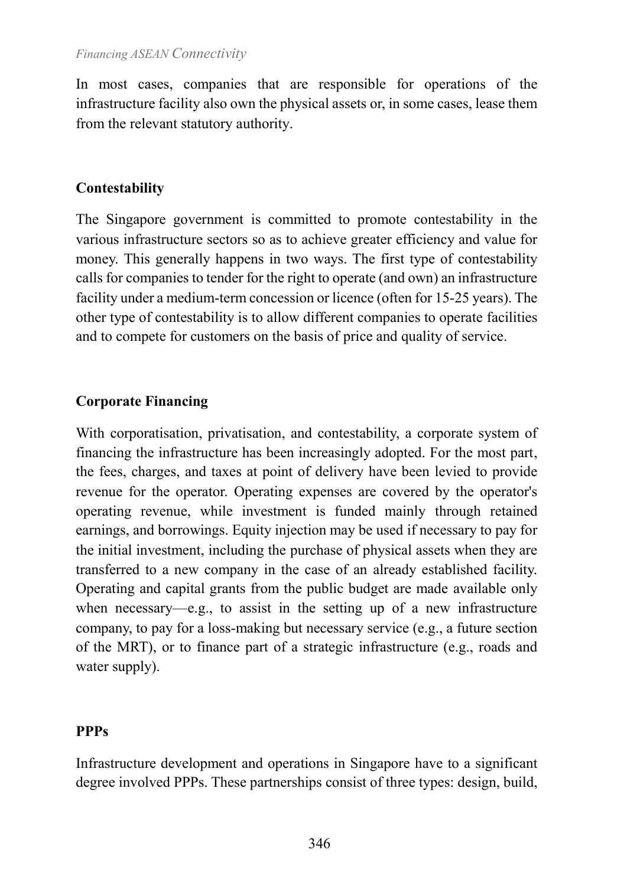In most cases, companies that are responsible for operations of the infrastructure facility also own the physical assets or, in some cases, lease them from the relevant statutory authority.

#### **Contestability**

The Singapore government is committed to promote contestability in the various infrastructure sectors so as to achieve greater efficiency and value for money. This generally happens in two ways. The first type of contestability calls for companies to tender for the right to operate (and own) an infrastructure facility under a medium-term concession or licence (often for 15-25 years). The other type of contestability is to allow different companies to operate facilities and to compete for customers on the basis of price and quality of service.

#### **Corporate Financing**

With corporatisation, privatisation, and contestability, a corporate system of financing the infrastructure has been increasingly adopted. For the most part, the fees, charges, and taxes at point of delivery have been levied to provide revenue for the operator. Operating expenses are covered by the operator's operating revenue, while investment is funded mainly through retained earnings, and borrowings. Equity injection may be used if necessary to pay for the initial investment, including the purchase of physical assets when they are transferred to a new company in the case of an already established facility. Operating and capital grants from the public budget are made available only when necessary—e.g., to assist in the setting up of a new infrastructure company, to pay for a loss-making but necessary service (e.g., a future section of the MRT), or to finance part of a strategic infrastructure (e.g., roads and water supply).

#### **PPPs**

Infrastructure development and operations in Singapore have to a significant degree involved PPPs. These partnerships consist of three types: design, build,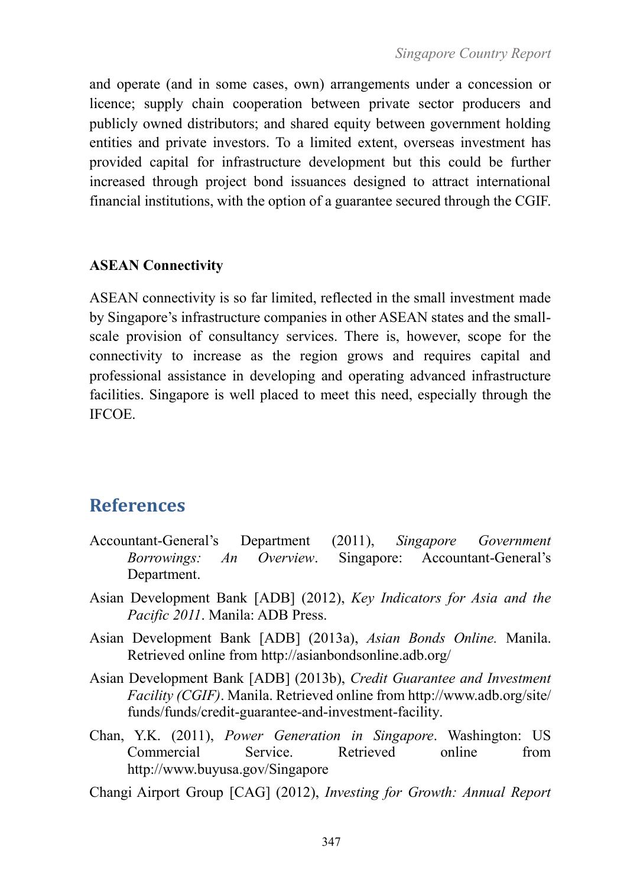and operate (and in some cases, own) arrangements under a concession or licence; supply chain cooperation between private sector producers and publicly owned distributors; and shared equity between government holding entities and private investors. To a limited extent, overseas investment has provided capital for infrastructure development but this could be further increased through project bond issuances designed to attract international financial institutions, with the option of a guarantee secured through the CGIF.

#### **ASEAN Connectivity**

ASEAN connectivity is so far limited, reflected in the small investment made by Singapore's infrastructure companies in other ASEAN states and the smallscale provision of consultancy services. There is, however, scope for the connectivity to increase as the region grows and requires capital and professional assistance in developing and operating advanced infrastructure facilities. Singapore is well placed to meet this need, especially through the IFCOE.

# **References**

- Accountant-General's Department (2011), *Singapore Government Borrowings: An Overview*. Singapore: Accountant-General's Department.
- Asian Development Bank [ADB] (2012), *Key Indicators for Asia and the Pacific 2011*. Manila: ADB Press.
- Asian Development Bank [ADB] (2013a), *Asian Bonds Online.* Manila. Retrieved online from<http://asianbondsonline.adb.org/>
- Asian Development Bank [ADB] (2013b), *Credit Guarantee and Investment Facility (CGIF)*. Manila. Retrieved online from [http://www.adb.org/site/](http://www.adb.org/site/%20funds/funds/credit-guarantee-and-investment-facility)  [funds/funds/credit-guarantee-and-investment-facility.](http://www.adb.org/site/%20funds/funds/credit-guarantee-and-investment-facility)
- Chan, Y.K. (2011), *Power Generation in Singapore*. Washington: US Commercial Service. Retrieved online from http://www.buyusa.gov/Singapore
- Changi Airport Group [CAG] (2012), *Investing for Growth: Annual Report*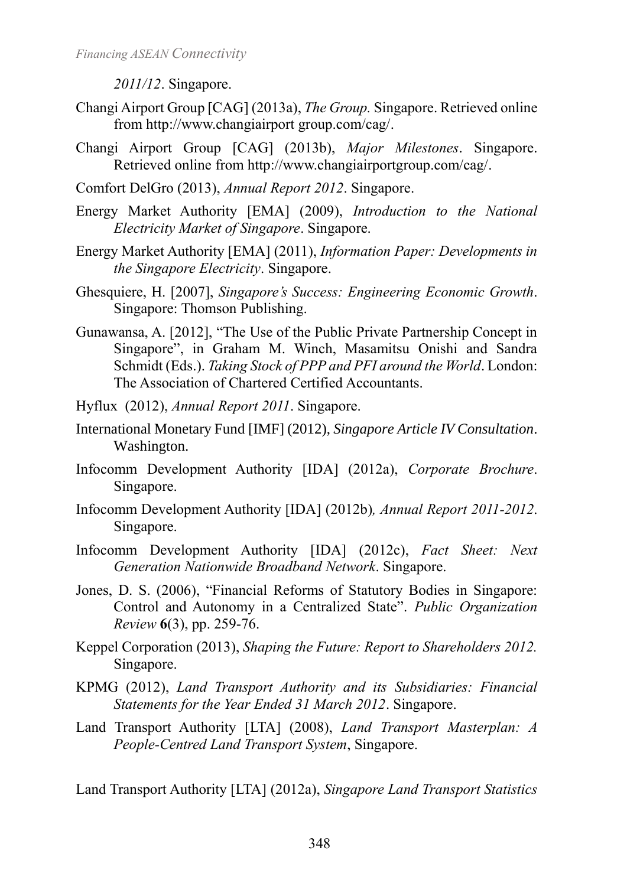*2011/12*. Singapore.

- Changi Airport Group [CAG] (2013a), *The Group.* Singapore. Retrieved online from http://www.changiairport group.com/cag/.
- Changi Airport Group [CAG] (2013b), *Major Milestones*. Singapore. Retrieved online from http://www.changiairportgroup.com/cag/.
- Comfort DelGro (2013), *Annual Report 2012*. Singapore.
- Energy Market Authority [EMA] (2009), *Introduction to the National Electricity Market of Singapore*. Singapore.
- Energy Market Authority [EMA] (2011), *Information Paper: Developments in the Singapore Electricity*. Singapore.
- Ghesquiere, H. [2007], *Singapore's Success: Engineering Economic Growth*. Singapore: Thomson Publishing.
- Gunawansa, A. [2012], "The Use of the Public Private Partnership Concept in Singapore", in Graham M. Winch, Masamitsu Onishi and Sandra Schmidt (Eds.). *Taking Stock of PPP and PFI around the World*. London: The Association of Chartered Certified Accountants.
- Hyflux (2012), *Annual Report 2011*. Singapore.
- International Monetary Fund [IMF] (2012), *Singapore Article IV Consultation*. Washington.
- Infocomm Development Authority [IDA] (2012a), *Corporate Brochure*. Singapore.
- Infocomm Development Authority [IDA] (2012b)*, Annual Report 2011-2012*. Singapore.
- Infocomm Development Authority [IDA] (2012c), *Fact Sheet: Next Generation Nationwide Broadband Network*. Singapore.
- Jones, D. S. (2006), "Financial Reforms of Statutory Bodies in Singapore: Control and Autonomy in a Centralized State". *Public Organization Review* **6**(3), pp. 259-76.
- Keppel Corporation (2013), *Shaping the Future: Report to Shareholders 2012.*  Singapore.
- KPMG (2012), *Land Transport Authority and its Subsidiaries: Financial Statements for the Year Ended 31 March 2012*. Singapore.
- Land Transport Authority [LTA] (2008), *Land Transport Masterplan: A People-Centred Land Transport System*, Singapore.

Land Transport Authority [LTA] (2012a), *Singapore Land Transport Statistics*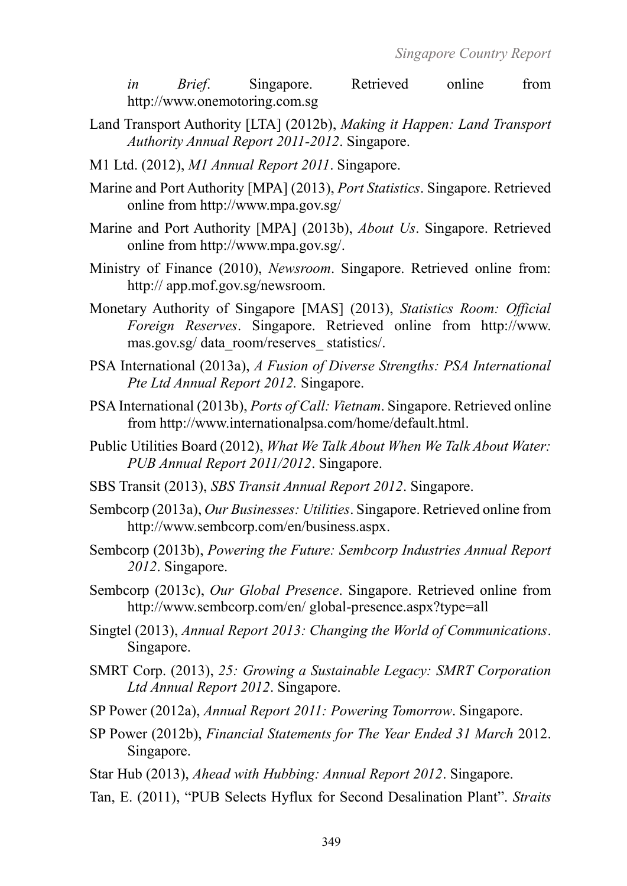*in Brief*. Singapore. Retrieved online from http://www.onemotoring.com.sg

- Land Transport Authority [LTA] (2012b), *Making it Happen: Land Transport Authority Annual Report 2011-2012*. Singapore.
- M1 Ltd. (2012), *M1 Annual Report 2011*. Singapore.
- Marine and Port Authority [MPA] (2013), *Port Statistics*. Singapore. Retrieved online from http://www.mpa.gov.sg/
- Marine and Port Authority [MPA] (2013b), *About Us*. Singapore. Retrieved online from [http://www.mpa.gov.sg/.](http://www.mpa.gov.sg/)
- Ministry of Finance (2010), *Newsroom*. Singapore. Retrieved online from: http:// app.mof.gov.sg/newsroom.
- Monetary Authority of Singapore [MAS] (2013), *Statistics Room: Official Foreign Reserves*. Singapore. Retrieved online from http://www. mas.gov.sg/ data\_room/reserves\_ statistics/.
- PSA International (2013a), *A Fusion of Diverse Strengths: PSA International Pte Ltd Annual Report 2012.* Singapore.
- PSA International (2013b), *Ports of Call: Vietnam*. Singapore. Retrieved online from http://www.internationalpsa.com/home/default.html.
- Public Utilities Board (2012), *What We Talk About When We Talk About Water: PUB Annual Report 2011/2012*. Singapore.
- SBS Transit (2013), *SBS Transit Annual Report 2012*. Singapore.
- Sembcorp (2013a), *Our Businesses: Utilities*. Singapore. Retrieved online from http://www.sembcorp.com/en/business.aspx.
- Sembcorp (2013b), *Powering the Future: Sembcorp Industries Annual Report 2012*. Singapore.
- Sembcorp (2013c), *Our Global Presence*. Singapore. Retrieved online from http://www.sembcorp.com/en/ global-presence.aspx?type=all
- Singtel (2013), *Annual Report 2013: Changing the World of Communications*. Singapore.
- SMRT Corp. (2013), *25: Growing a Sustainable Legacy: SMRT Corporation Ltd Annual Report 2012*. Singapore.
- SP Power (2012a), *Annual Report 2011: Powering Tomorrow*. Singapore.
- SP Power (2012b), *Financial Statements for The Year Ended 31 March* 2012. Singapore.
- Star Hub (2013), *Ahead with Hubbing: Annual Report 2012*. Singapore.
- Tan, E. (2011), "PUB Selects Hyflux for Second Desalination Plant". *Straits*